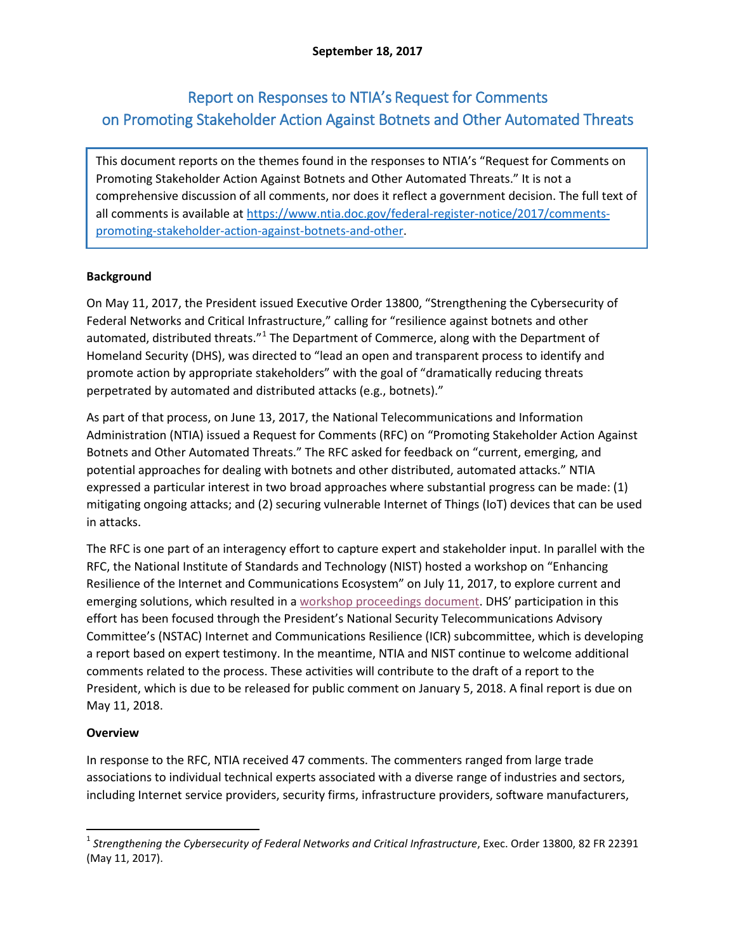# Report on Responses to NTIA's Request for Comments on Promoting Stakeholder Action Against Botnets and Other Automated Threats

This document reports on the themes found in the responses to NTIA's "Request for Comments on Promoting Stakeholder Action Against Botnets and Other Automated Threats." It is not a comprehensive discussion of all comments, nor does it reflect a government decision. The full text of all comments is available at [https://www.ntia.doc.gov/federal-register-notice/2017/comments](https://www.ntia.doc.gov/federal-register-notice/2017/comments-promoting-stakeholder-action-against-botnets-and-other)[promoting-stakeholder-action-against-botnets-and-other.](https://www.ntia.doc.gov/federal-register-notice/2017/comments-promoting-stakeholder-action-against-botnets-and-other)

## **Background**

On May 11, 2017, the President issued Executive Order 13800, "Strengthening the Cybersecurity of Federal Networks and Critical Infrastructure," calling for "resilience against botnets and other automated, distributed threats."<sup>[1](#page-0-0)</sup> The Department of Commerce, along with the Department of Homeland Security (DHS), was directed to "lead an open and transparent process to identify and promote action by appropriate stakeholders" with the goal of "dramatically reducing threats perpetrated by automated and distributed attacks (e.g., botnets)."

As part of that process, on June 13, 2017, the National Telecommunications and Information Administration (NTIA) issued a Request for Comments (RFC) on "Promoting Stakeholder Action Against Botnets and Other Automated Threats." The RFC asked for feedback on "current, emerging, and potential approaches for dealing with botnets and other distributed, automated attacks." NTIA expressed a particular interest in two broad approaches where substantial progress can be made: (1) mitigating ongoing attacks; and (2) securing vulnerable Internet of Things (IoT) devices that can be used in attacks.

The RFC is one part of an interagency effort to capture expert and stakeholder input. In parallel with the RFC, the National Institute of Standards and Technology (NIST) hosted a workshop on "Enhancing Resilience of the Internet and Communications Ecosystem" on July 11, 2017, to explore current and emerging solutions, which resulted in a [workshop proceedings document.](https://doi.org/10.6028/NIST.IR.8192) DHS' participation in this effort has been focused through the President's National Security Telecommunications Advisory Committee's (NSTAC) Internet and Communications Resilience (ICR) subcommittee, which is developing a report based on expert testimony. In the meantime, NTIA and NIST continue to welcome additional comments related to the process. These activities will contribute to the draft of a report to the President, which is due to be released for public comment on January 5, 2018. A final report is due on May 11, 2018.

## **Overview**

In response to the RFC, NTIA received 47 comments. The commenters ranged from large trade associations to individual technical experts associated with a diverse range of industries and sectors, including Internet service providers, security firms, infrastructure providers, software manufacturers,

<span id="page-0-0"></span> <sup>1</sup> *Strengthening the Cybersecurity of Federal Networks and Critical Infrastructure*, Exec. Order 13800, 82 FR 22391 (May 11, 2017).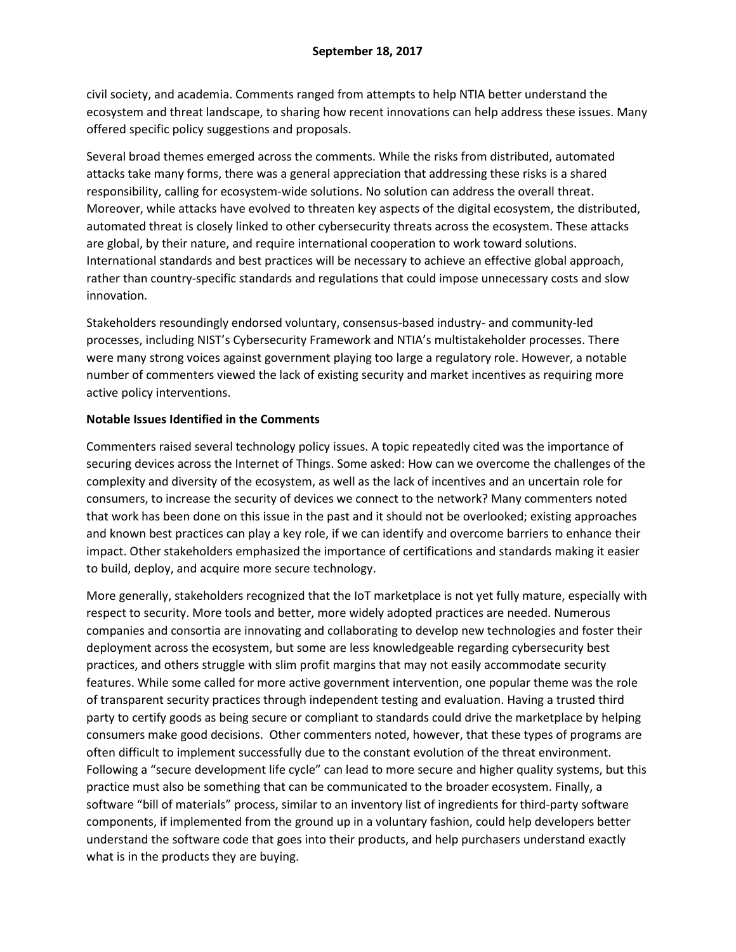civil society, and academia. Comments ranged from attempts to help NTIA better understand the ecosystem and threat landscape, to sharing how recent innovations can help address these issues. Many offered specific policy suggestions and proposals.

Several broad themes emerged across the comments. While the risks from distributed, automated attacks take many forms, there was a general appreciation that addressing these risks is a shared responsibility, calling for ecosystem-wide solutions. No solution can address the overall threat. Moreover, while attacks have evolved to threaten key aspects of the digital ecosystem, the distributed, automated threat is closely linked to other cybersecurity threats across the ecosystem. These attacks are global, by their nature, and require international cooperation to work toward solutions. International standards and best practices will be necessary to achieve an effective global approach, rather than country-specific standards and regulations that could impose unnecessary costs and slow innovation.

Stakeholders resoundingly endorsed voluntary, consensus-based industry- and community-led processes, including NIST's Cybersecurity Framework and NTIA's multistakeholder processes. There were many strong voices against government playing too large a regulatory role. However, a notable number of commenters viewed the lack of existing security and market incentives as requiring more active policy interventions.

### **Notable Issues Identified in the Comments**

Commenters raised several technology policy issues. A topic repeatedly cited was the importance of securing devices across the Internet of Things. Some asked: How can we overcome the challenges of the complexity and diversity of the ecosystem, as well as the lack of incentives and an uncertain role for consumers, to increase the security of devices we connect to the network? Many commenters noted that work has been done on this issue in the past and it should not be overlooked; existing approaches and known best practices can play a key role, if we can identify and overcome barriers to enhance their impact. Other stakeholders emphasized the importance of certifications and standards making it easier to build, deploy, and acquire more secure technology.

More generally, stakeholders recognized that the IoT marketplace is not yet fully mature, especially with respect to security. More tools and better, more widely adopted practices are needed. Numerous companies and consortia are innovating and collaborating to develop new technologies and foster their deployment across the ecosystem, but some are less knowledgeable regarding cybersecurity best practices, and others struggle with slim profit margins that may not easily accommodate security features. While some called for more active government intervention, one popular theme was the role of transparent security practices through independent testing and evaluation. Having a trusted third party to certify goods as being secure or compliant to standards could drive the marketplace by helping consumers make good decisions. Other commenters noted, however, that these types of programs are often difficult to implement successfully due to the constant evolution of the threat environment. Following a "secure development life cycle" can lead to more secure and higher quality systems, but this practice must also be something that can be communicated to the broader ecosystem. Finally, a software "bill of materials" process, similar to an inventory list of ingredients for third-party software components, if implemented from the ground up in a voluntary fashion, could help developers better understand the software code that goes into their products, and help purchasers understand exactly what is in the products they are buying.